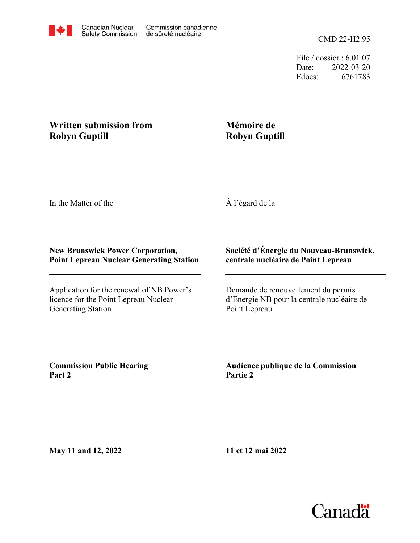File / dossier : 6.01.07 Date: 2022-03-20 Edocs: 6761783

## **Written submission from Robyn Guptill**

## **Mémoire de Robyn Guptill**

In the Matter of the

À l'égard de la

## **New Brunswick Power Corporation, Point Lepreau Nuclear Generating Station**

Application for the renewal of NB Power's licence for the Point Lepreau Nuclear Generating Station

## **Société d'Énergie du Nouveau-Brunswick, centrale nucléaire de Point Lepreau**

Demande de renouvellement du permis d'Énergie NB pour la centrale nucléaire de Point Lepreau

**Commission Public Hearing Part 2**

**Audience publique de la Commission Partie 2**

**May 11 and 12, 2022**

**11 et 12 mai 2022**